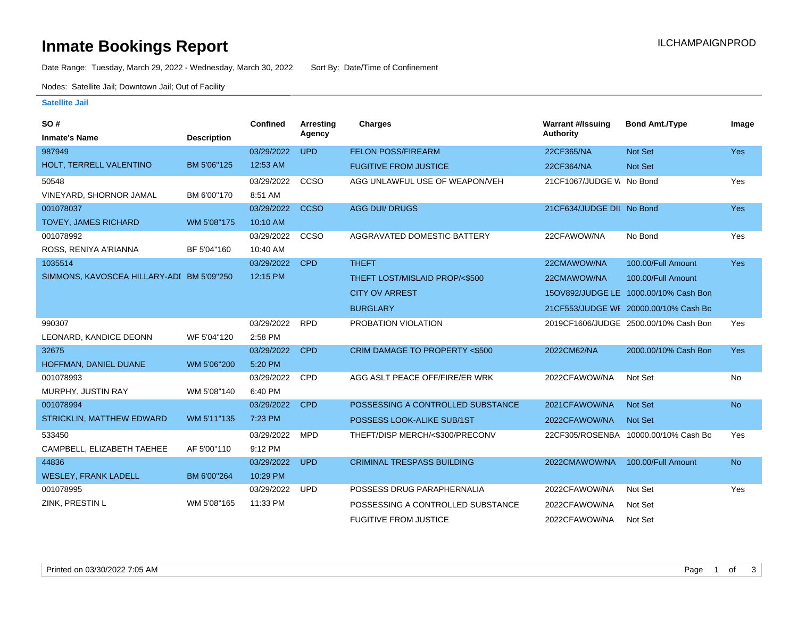# **Inmate Bookings Report Inmate Bookings Report**

Date Range: Tuesday, March 29, 2022 - Wednesday, March 30, 2022 Sort By: Date/Time of Confinement

Nodes: Satellite Jail; Downtown Jail; Out of Facility

### **Satellite Jail**

| SO#                                       |                    | <b>Confined</b> | Arresting   | <b>Charges</b>                    | <b>Warrant #/Issuing</b>  | <b>Bond Amt./Type</b>                 | Image      |
|-------------------------------------------|--------------------|-----------------|-------------|-----------------------------------|---------------------------|---------------------------------------|------------|
| <b>Inmate's Name</b>                      | <b>Description</b> |                 | Agency      |                                   | <b>Authority</b>          |                                       |            |
| 987949                                    |                    | 03/29/2022      | <b>UPD</b>  | <b>FELON POSS/FIREARM</b>         | 22CF365/NA                | <b>Not Set</b>                        | <b>Yes</b> |
| HOLT, TERRELL VALENTINO                   | BM 5'06"125        | 12:53 AM        |             | <b>FUGITIVE FROM JUSTICE</b>      | 22CF364/NA                | <b>Not Set</b>                        |            |
| 50548                                     |                    | 03/29/2022      | CCSO        | AGG UNLAWFUL USE OF WEAPON/VEH    | 21CF1067/JUDGE W No Bond  |                                       | Yes        |
| VINEYARD, SHORNOR JAMAL                   | BM 6'00"170        | 8:51 AM         |             |                                   |                           |                                       |            |
| 001078037                                 |                    | 03/29/2022      | <b>CCSO</b> | <b>AGG DUI/ DRUGS</b>             | 21CF634/JUDGE DIL No Bond |                                       | Yes        |
| <b>TOVEY, JAMES RICHARD</b>               | WM 5'08"175        | 10:10 AM        |             |                                   |                           |                                       |            |
| 001078992                                 |                    | 03/29/2022      | CCSO        | AGGRAVATED DOMESTIC BATTERY       | 22CFAWOW/NA               | No Bond                               | Yes        |
| ROSS, RENIYA A'RIANNA                     | BF 5'04"160        | 10:40 AM        |             |                                   |                           |                                       |            |
| 1035514                                   |                    | 03/29/2022      | <b>CPD</b>  | <b>THEFT</b>                      | 22CMAWOW/NA               | 100.00/Full Amount                    | <b>Yes</b> |
| SIMMONS, KAVOSCEA HILLARY-ADI BM 5'09"250 |                    | 12:15 PM        |             | THEFT LOST/MISLAID PROP/<\$500    | 22CMAWOW/NA               | 100.00/Full Amount                    |            |
|                                           |                    |                 |             | <b>CITY OV ARREST</b>             |                           | 15OV892/JUDGE LE 1000.00/10% Cash Bon |            |
|                                           |                    |                 |             | <b>BURGLARY</b>                   |                           | 21CF553/JUDGE WE 20000.00/10% Cash Bo |            |
| 990307                                    |                    | 03/29/2022      | <b>RPD</b>  | PROBATION VIOLATION               |                           | 2019CF1606/JUDGE 2500.00/10% Cash Bon | Yes        |
| LEONARD, KANDICE DEONN                    | WF 5'04"120        | 2:58 PM         |             |                                   |                           |                                       |            |
| 32675                                     |                    | 03/29/2022      | <b>CPD</b>  | CRIM DAMAGE TO PROPERTY <\$500    | 2022CM62/NA               | 2000.00/10% Cash Bon                  | <b>Yes</b> |
| HOFFMAN, DANIEL DUANE                     | WM 5'06"200        | 5:20 PM         |             |                                   |                           |                                       |            |
| 001078993                                 |                    | 03/29/2022      | <b>CPD</b>  | AGG ASLT PEACE OFF/FIRE/ER WRK    | 2022CFAWOW/NA             | Not Set                               | No         |
| MURPHY, JUSTIN RAY                        | WM 5'08"140        | 6:40 PM         |             |                                   |                           |                                       |            |
| 001078994                                 |                    | 03/29/2022      | <b>CPD</b>  | POSSESSING A CONTROLLED SUBSTANCE | 2021CFAWOW/NA             | <b>Not Set</b>                        | <b>No</b>  |
| STRICKLIN, MATTHEW EDWARD                 | WM 5'11"135        | 7:23 PM         |             | POSSESS LOOK-ALIKE SUB/1ST        | 2022CFAWOW/NA             | <b>Not Set</b>                        |            |
| 533450                                    |                    | 03/29/2022      | <b>MPD</b>  | THEFT/DISP MERCH/<\$300/PRECONV   | 22CF305/ROSENBA           | 10000.00/10% Cash Bo                  | Yes        |
| CAMPBELL, ELIZABETH TAEHEE                | AF 5'00"110        | 9:12 PM         |             |                                   |                           |                                       |            |
| 44836                                     |                    | 03/29/2022      | <b>UPD</b>  | <b>CRIMINAL TRESPASS BUILDING</b> | 2022CMAWOW/NA             | 100.00/Full Amount                    | <b>No</b>  |
| <b>WESLEY, FRANK LADELL</b>               | BM 6'00"264        | 10:29 PM        |             |                                   |                           |                                       |            |
| 001078995                                 |                    | 03/29/2022      | <b>UPD</b>  | POSSESS DRUG PARAPHERNALIA        | 2022CFAWOW/NA             | Not Set                               | Yes        |
| ZINK, PRESTIN L                           | WM 5'08"165        | 11:33 PM        |             | POSSESSING A CONTROLLED SUBSTANCE | 2022CFAWOW/NA             | Not Set                               |            |
|                                           |                    |                 |             | <b>FUGITIVE FROM JUSTICE</b>      | 2022CFAWOW/NA             | Not Set                               |            |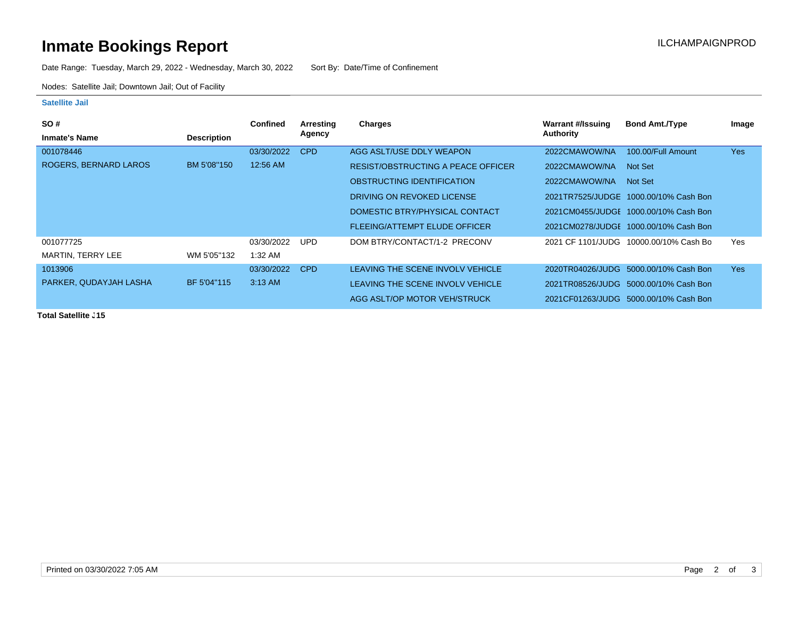# **Inmate Bookings Report Inmate Bookings Report**

Date Range: Tuesday, March 29, 2022 - Wednesday, March 30, 2022 Sort By: Date/Time of Confinement

Nodes: Satellite Jail; Downtown Jail; Out of Facility

### **Satellite Jail**

| <b>SO#</b>                   |                    | <b>Confined</b> | Arresting  | Charges                                   | <b>Warrant #/Issuing</b> | <b>Bond Amt./Type</b>                 | Image |
|------------------------------|--------------------|-----------------|------------|-------------------------------------------|--------------------------|---------------------------------------|-------|
| <b>Inmate's Name</b>         | <b>Description</b> |                 | Agency     |                                           | Authority                |                                       |       |
| 001078446                    |                    | 03/30/2022      | CPD        | AGG ASLT/USE DDLY WEAPON                  | 2022CMAWOW/NA            | 100.00/Full Amount                    | Yes   |
| <b>ROGERS, BERNARD LAROS</b> | BM 5'08"150        | 12:56 AM        |            | <b>RESIST/OBSTRUCTING A PEACE OFFICER</b> | 2022CMAWOW/NA            | Not Set                               |       |
|                              |                    |                 |            | OBSTRUCTING IDENTIFICATION                | 2022CMAWOW/NA            | Not Set                               |       |
|                              |                    |                 |            | DRIVING ON REVOKED LICENSE                |                          | 2021TR7525/JUDGE 1000.00/10% Cash Bon |       |
|                              |                    |                 |            | DOMESTIC BTRY/PHYSICAL CONTACT            |                          | 2021CM0455/JUDGE 1000.00/10% Cash Bon |       |
|                              |                    |                 |            | <b>FLEEING/ATTEMPT ELUDE OFFICER</b>      |                          | 2021CM0278/JUDGE 1000.00/10% Cash Bon |       |
| 001077725                    |                    | 03/30/2022      | UPD        | DOM BTRY/CONTACT/1-2 PRECONV              | 2021 CF 1101/JUDG        | 10000.00/10% Cash Bo                  | Yes   |
| <b>MARTIN, TERRY LEE</b>     | WM 5'05"132        | 1:32 AM         |            |                                           |                          |                                       |       |
| 1013906                      |                    | 03/30/2022      | <b>CPD</b> | LEAVING THE SCENE INVOLV VEHICLE          |                          | 2020TR04026/JUDG 5000.00/10% Cash Bon | Yes   |
| PARKER, QUDAYJAH LASHA       | BF 5'04"115        | 3:13 AM         |            | LEAVING THE SCENE INVOLV VEHICLE          |                          | 2021TR08526/JUDG 5000.00/10% Cash Bon |       |
|                              |                    |                 |            | AGG ASLT/OP MOTOR VEH/STRUCK              |                          | 2021CF01263/JUDG 5000.00/10% Cash Bon |       |

**Total Satellite J15**